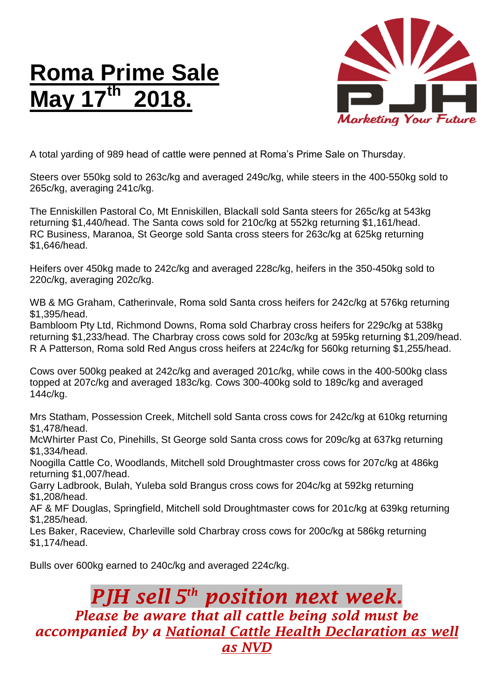## **Roma Prime Sale May 17 th 2018.**



A total yarding of 989 head of cattle were penned at Roma's Prime Sale on Thursday.

Steers over 550kg sold to 263c/kg and averaged 249c/kg, while steers in the 400-550kg sold to 265c/kg, averaging 241c/kg.

The Enniskillen Pastoral Co, Mt Enniskillen, Blackall sold Santa steers for 265c/kg at 543kg returning \$1,440/head. The Santa cows sold for 210c/kg at 552kg returning \$1,161/head. RC Business, Maranoa, St George sold Santa cross steers for 263c/kg at 625kg returning \$1,646/head.

Heifers over 450kg made to 242c/kg and averaged 228c/kg, heifers in the 350-450kg sold to 220c/kg, averaging 202c/kg.

WB & MG Graham, Catherinvale, Roma sold Santa cross heifers for 242c/kg at 576kg returning \$1,395/head.

Bambloom Pty Ltd, Richmond Downs, Roma sold Charbray cross heifers for 229c/kg at 538kg returning \$1,233/head. The Charbray cross cows sold for 203c/kg at 595kg returning \$1,209/head. R A Patterson, Roma sold Red Angus cross heifers at 224c/kg for 560kg returning \$1,255/head.

Cows over 500kg peaked at 242c/kg and averaged 201c/kg, while cows in the 400-500kg class topped at 207c/kg and averaged 183c/kg. Cows 300-400kg sold to 189c/kg and averaged 144c/kg.

Mrs Statham, Possession Creek, Mitchell sold Santa cross cows for 242c/kg at 610kg returning \$1,478/head.

McWhirter Past Co, Pinehills, St George sold Santa cross cows for 209c/kg at 637kg returning \$1,334/head.

Noogilla Cattle Co, Woodlands, Mitchell sold Droughtmaster cross cows for 207c/kg at 486kg returning \$1,007/head.

Garry Ladbrook, Bulah, Yuleba sold Brangus cross cows for 204c/kg at 592kg returning \$1,208/head.

AF & MF Douglas, Springfield, Mitchell sold Droughtmaster cows for 201c/kg at 639kg returning \$1,285/head.

Les Baker, Raceview, Charleville sold Charbray cross cows for 200c/kg at 586kg returning \$1,174/head.

Bulls over 600kg earned to 240c/kg and averaged 224c/kg.

## *PJH sell 5 th position next week. Please be aware that all cattle being sold must be accompanied by a National Cattle Health Declaration as well as NVD*